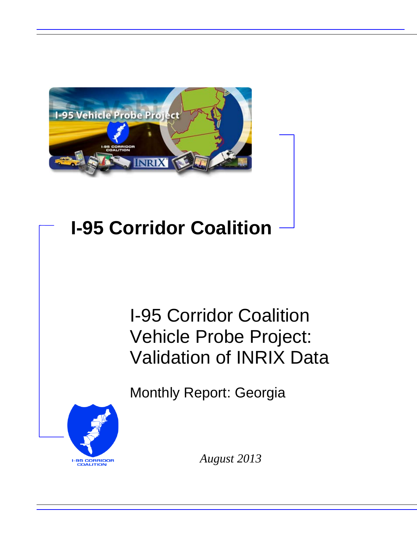

# **I-95 Corridor Coalition**

# I-95 Corridor Coalition Vehicle Probe Project: Validation of INRIX Data

Monthly Report: Georgia



*August 2013*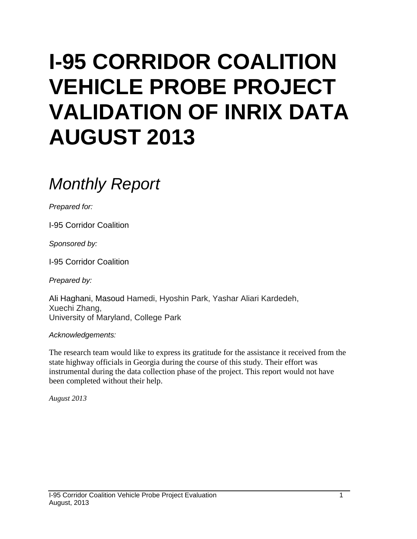# **I-95 CORRIDOR COALITION VEHICLE PROBE PROJECT VALIDATION OF INRIX DATA AUGUST 2013**

## *Monthly Report*

*Prepared for:*

I-95 Corridor Coalition

*Sponsored by:*

I-95 Corridor Coalition

*Prepared by:*

Ali Haghani, Masoud Hamedi, Hyoshin Park, Yashar Aliari Kardedeh, Xuechi Zhang, University of Maryland, College Park

#### *Acknowledgements:*

The research team would like to express its gratitude for the assistance it received from the state highway officials in Georgia during the course of this study. Their effort was instrumental during the data collection phase of the project. This report would not have been completed without their help.

*August 2013*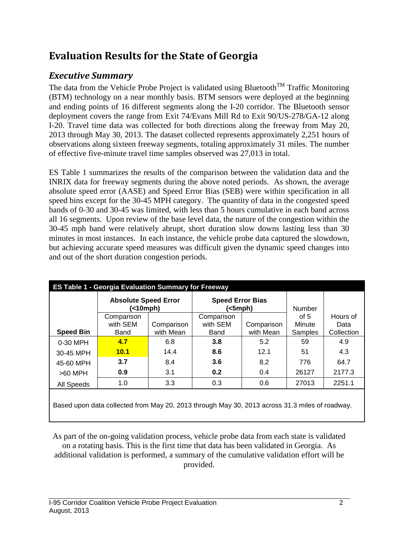## **Evaluation Results for the State of Georgia**

### *Executive Summary*

The data from the Vehicle Probe Project is validated using Bluetooth<sup>TM</sup> Traffic Monitoring (BTM) technology on a near monthly basis. BTM sensors were deployed at the beginning and ending points of 16 different segments along the I-20 corridor. The Bluetooth sensor deployment covers the range from Exit 74/Evans Mill Rd to Exit 90/US-278/GA-12 along I-20. Travel time data was collected for both directions along the freeway from May 20, 2013 through May 30, 2013. The dataset collected represents approximately 2,251 hours of observations along sixteen freeway segments, totaling approximately 31 miles. The number of effective five-minute travel time samples observed was 27,013 in total.

ES Table 1 summarizes the results of the comparison between the validation data and the INRIX data for freeway segments during the above noted periods. As shown, the average absolute speed error (AASE) and Speed Error Bias (SEB) were within specification in all speed bins except for the 30-45 MPH category. The quantity of data in the congested speed bands of 0-30 and 30-45 was limited, with less than 5 hours cumulative in each band across all 16 segments. Upon review of the base level data, the nature of the congestion within the 30-45 mph band were relatively abrupt, short duration slow downs lasting less than 30 minutes in most instances. In each instance, the vehicle probe data captured the slowdown, but achieving accurate speed measures was difficult given the dynamic speed changes into and out of the short duration congestion periods.

|                  | <b>ES Table 1 - Georgia Evaluation Summary for Freeway</b><br><b>Absolute Speed Error</b><br>(<10mph) |                         | <b>Speed Error Bias</b><br>(<5mph) |                         | <b>Number</b>     |                    |
|------------------|-------------------------------------------------------------------------------------------------------|-------------------------|------------------------------------|-------------------------|-------------------|--------------------|
|                  | Comparison                                                                                            |                         | Comparison                         |                         | of $5$            | Hours of           |
| <b>Speed Bin</b> | with SEM<br>Band                                                                                      | Comparison<br>with Mean | with SEM<br>Band                   | Comparison<br>with Mean | Minute<br>Samples | Data<br>Collection |
| 0-30 MPH         | 4.7                                                                                                   | 6.8                     | 3.8                                | 5.2                     | 59                | 4.9                |
| 30-45 MPH        | 10.1                                                                                                  | 14.4                    | 8.6                                | 12.1                    | 51                | 4.3                |
| 45-60 MPH        | 3.7                                                                                                   | 8.4                     | 3.6                                | 8.2                     | 776               | 64.7               |
| >60 MPH          | 0.9                                                                                                   | 3.1                     | 0.2                                | 0.4                     | 26127             | 2177.3             |
| All Speeds       | 1.0                                                                                                   | 3.3                     | 0.3                                | 0.6                     | 27013             | 2251.1             |
|                  | Based upon data collected from May 20, 2013 through May 30, 2013 across 31.3 miles of roadway.        |                         |                                    |                         |                   |                    |

As part of the on-going validation process, vehicle probe data from each state is validated on a rotating basis. This is the first time that data has been validated in Georgia. As additional validation is performed, a summary of the cumulative validation effort will be provided.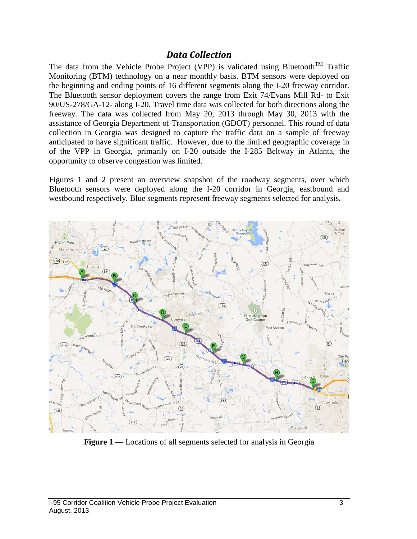#### *Data Collection*

The data from the Vehicle Probe Project (VPP) is validated using Bluetooth<sup>TM</sup> Traffic Monitoring (BTM) technology on a near monthly basis. BTM sensors were deployed on the beginning and ending points of 16 different segments along the I-20 freeway corridor. The Bluetooth sensor deployment covers the range from Exit 74/Evans Mill Rd- to Exit 90/US-278/GA-12- along I-20. Travel time data was collected for both directions along the freeway. The data was collected from May 20, 2013 through May 30, 2013 with the assistance of Georgia Department of Transportation (GDOT) personnel. This round of data collection in Georgia was designed to capture the traffic data on a sample of freeway anticipated to have significant traffic. However, due to the limited geographic coverage in of the VPP in Georgia, primarily on I-20 outside the I-285 Beltway in Atlanta, the opportunity to observe congestion was limited.

Figures 1 and 2 present an overview snapshot of the roadway segments, over which Bluetooth sensors were deployed along the I-20 corridor in Georgia, eastbound and westbound respectively. Blue segments represent freeway segments selected for analysis.



**Figure 1** –– Locations of all segments selected for analysis in Georgia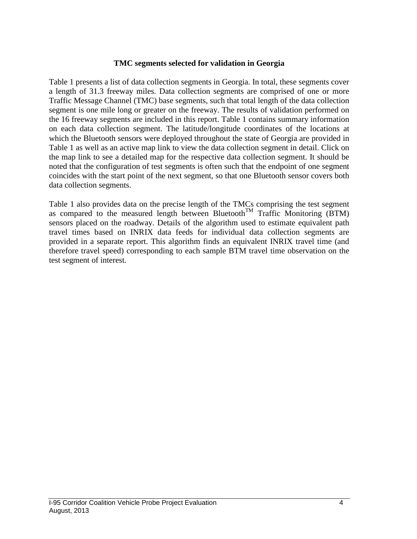#### **TMC segments selected for validation in Georgia**

Table 1 presents a list of data collection segments in Georgia. In total, these segments cover a length of 31.3 freeway miles. Data collection segments are comprised of one or more Traffic Message Channel (TMC) base segments, such that total length of the data collection segment is one mile long or greater on the freeway. The results of validation performed on the 16 freeway segments are included in this report. Table 1 contains summary information on each data collection segment. The latitude/longitude coordinates of the locations at which the Bluetooth sensors were deployed throughout the state of Georgia are provided in Table 1 as well as an active map link to view the data collection segment in detail. Click on the map link to see a detailed map for the respective data collection segment. It should be noted that the configuration of test segments is often such that the endpoint of one segment coincides with the start point of the next segment, so that one Bluetooth sensor covers both data collection segments.

Table 1 also provides data on the precise length of the TMCs comprising the test segment as compared to the measured length between Bluetooth<sup>TM</sup> Traffic Monitoring (BTM) sensors placed on the roadway. Details of the algorithm used to estimate equivalent path travel times based on INRIX data feeds for individual data collection segments are provided in a separate report. This algorithm finds an equivalent INRIX travel time (and therefore travel speed) corresponding to each sample BTM travel time observation on the test segment of interest.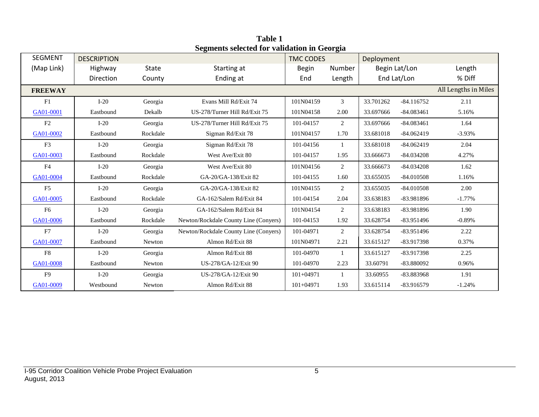| <b>SEGMENT</b> | <b>DESCRIPTION</b> |              |                                       | <b>TMC CODES</b> |                | Deployment |               |                      |
|----------------|--------------------|--------------|---------------------------------------|------------------|----------------|------------|---------------|----------------------|
| (Map Link)     | Highway            | <b>State</b> | Starting at                           | <b>Begin</b>     | Number         |            | Begin Lat/Lon | Length               |
|                | Direction          | County       | Ending at                             | End              | Length         |            | End Lat/Lon   | % Diff               |
| <b>FREEWAY</b> |                    |              |                                       |                  |                |            |               | All Lengths in Miles |
| F1             | $I-20$             | Georgia      | Evans Mill Rd/Exit 74                 | 101N04159        | $\mathfrak{Z}$ | 33.701262  | $-84.116752$  | 2.11                 |
| GA01-0001      | Eastbound          | Dekalb       | US-278/Turner Hill Rd/Exit 75         | 101N04158        | 2.00           | 33.697666  | $-84.083461$  | 5.16%                |
| F2             | $I-20$             | Georgia      | US-278/Turner Hill Rd/Exit 75         | 101-04157        | $\overline{2}$ | 33.697666  | $-84.083461$  | 1.64                 |
| GA01-0002      | Eastbound          | Rockdale     | Sigman Rd/Exit 78                     | 101N04157        | 1.70           | 33.681018  | $-84.062419$  | $-3.93%$             |
| F <sub>3</sub> | $I-20$             | Georgia      | Sigman Rd/Exit 78                     | 101-04156        | $\mathbf{1}$   | 33.681018  | $-84.062419$  | 2.04                 |
| GA01-0003      | Eastbound          | Rockdale     | West Ave/Exit 80                      | 101-04157        | 1.95           | 33.666673  | $-84.034208$  | 4.27%                |
| F <sub>4</sub> | $I-20$             | Georgia      | West Ave/Exit 80                      | 101N04156        | $\overline{2}$ | 33.666673  | $-84.034208$  | 1.62                 |
| GA01-0004      | Eastbound          | Rockdale     | GA-20/GA-138/Exit 82                  | 101-04155        | 1.60           | 33.655035  | $-84.010508$  | 1.16%                |
| F5             | $I-20$             | Georgia      | GA-20/GA-138/Exit 82                  | 101N04155        | $\overline{2}$ | 33.655035  | $-84.010508$  | 2.00                 |
| GA01-0005      | Eastbound          | Rockdale     | GA-162/Salem Rd/Exit 84               | 101-04154        | 2.04           | 33.638183  | -83.981896    | $-1.77%$             |
| F <sub>6</sub> | $I-20$             | Georgia      | GA-162/Salem Rd/Exit 84               | 101N04154        | $\overline{2}$ | 33.638183  | -83.981896    | 1.90                 |
| GA01-0006      | Eastbound          | Rockdale     | Newton/Rockdale County Line (Conyers) | 101-04153        | 1.92           | 33.628754  | -83.951496    | $-0.89%$             |
| F7             | $I-20$             | Georgia      | Newton/Rockdale County Line (Conyers) | 101-04971        | $\overline{2}$ | 33.628754  | $-83.951496$  | 2.22                 |
| GA01-0007      | Eastbound          | Newton       | Almon Rd/Exit 88                      | 101N04971        | 2.21           | 33.615127  | -83.917398    | 0.37%                |
| F8             | $I-20$             | Georgia      | Almon Rd/Exit 88                      | 101-04970        | 1              | 33.615127  | -83.917398    | 2.25                 |
| GA01-0008      | Eastbound          | Newton       | US-278/GA-12/Exit 90                  | 101-04970        | 2.23           | 33.60791   | -83.880092    | 0.96%                |
| F <sub>9</sub> | $I-20$             | Georgia      | US-278/GA-12/Exit 90                  | $101 + 04971$    | $\mathbf{1}$   | 33.60955   | -83.883968    | 1.91                 |
| GA01-0009      | Westbound          | Newton       | Almon Rd/Exit 88                      | $101 + 04971$    | 1.93           | 33.615114  | -83.916579    | $-1.24%$             |

**Table 1 Segments selected for validation in Georgia**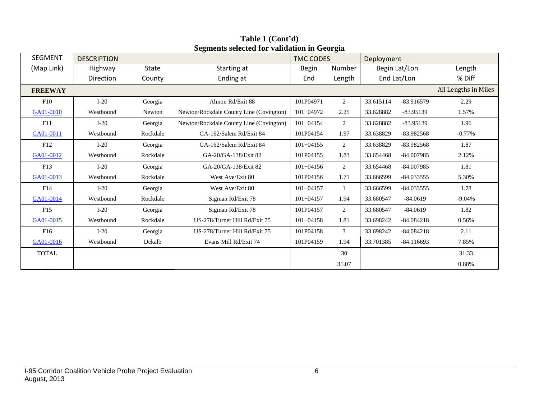| <b>SEGMENT</b>  | <b>DESCRIPTION</b> |          | segments serected for vandation in Secrigia | <b>TMC CODES</b><br>Deployment |        |           |               |                      |
|-----------------|--------------------|----------|---------------------------------------------|--------------------------------|--------|-----------|---------------|----------------------|
| (Map Link)      | Highway            | State    | Starting at                                 | <b>Begin</b>                   | Number |           | Begin Lat/Lon | Length               |
|                 | Direction          | County   | Ending at                                   | End                            | Length |           | End Lat/Lon   | % Diff               |
| <b>FREEWAY</b>  |                    |          |                                             |                                |        |           |               | All Lengths in Miles |
| F10             | $I-20$             | Georgia  | Almon Rd/Exit 88                            | 101P04971                      | 2      | 33.615114 | $-83.916579$  | 2.29                 |
| GA01-0010       | Westbound          | Newton   | Newton/Rockdale County Line (Covington)     | $101 + 04972$                  | 2.25   | 33.628882 | $-83.95139$   | 1.57%                |
| F11             | $I-20$             | Georgia  | Newton/Rockdale County Line (Covington)     | $101 + 04154$                  | 2      | 33.628882 | $-83.95139$   | 1.96                 |
| GA01-0011       | Westbound          | Rockdale | GA-162/Salem Rd/Exit 84                     | 101P04154                      | 1.97   | 33.638829 | -83.982568    | $-0.77%$             |
| F12             | $I-20$             | Georgia  | GA-162/Salem Rd/Exit 84                     | $101 + 04155$                  | 2      | 33.638829 | $-83.982568$  | 1.87                 |
| GA01-0012       | Westbound          | Rockdale | GA-20/GA-138/Exit 82                        | 101P04155                      | 1.83   | 33.654468 | $-84.007985$  | 2.12%                |
| F13             | $I-20$             | Georgia  | GA-20/GA-138/Exit 82                        | $101 + 04156$                  | 2      | 33.654468 | $-84.007985$  | 1.81                 |
| GA01-0013       | Westbound          | Rockdale | West Ave/Exit 80                            | 101P04156                      | 1.71   | 33.666599 | $-84.033555$  | 5.30%                |
| F14             | $I-20$             | Georgia  | West Ave/Exit 80                            | $101 + 04157$                  | 1      | 33.666599 | $-84.033555$  | 1.78                 |
| GA01-0014       | Westbound          | Rockdale | Sigman Rd/Exit 78                           | $101 + 04157$                  | 1.94   | 33.680547 | $-84.0619$    | $-9.04%$             |
| F15             | $I-20$             | Georgia  | Sigman Rd/Exit 78                           | 101P04157                      | 2      | 33.680547 | $-84.0619$    | 1.82                 |
| GA01-0015       | Westbound          | Rockdale | US-278/Turner Hill Rd/Exit 75               | $101 + 04158$                  | 1.81   | 33.698242 | $-84.084218$  | 0.56%                |
| F <sub>16</sub> | $I-20$             | Georgia  | US-278/Turner Hill Rd/Exit 75               | 101P04158                      | 3      | 33.698242 | $-84.084218$  | 2.11                 |
| GA01-0016       | Westbound          | Dekalb   | Evans Mill Rd/Exit 74                       | 101P04159                      | 1.94   | 33.701385 | $-84.116693$  | 7.85%                |
| <b>TOTAL</b>    |                    |          |                                             |                                | 30     |           |               | 31.33                |
| $\blacksquare$  |                    |          |                                             |                                | 31.07  |           |               | 0.88%                |

**Table 1 (Cont'd) Segments selected for validation in Georgia**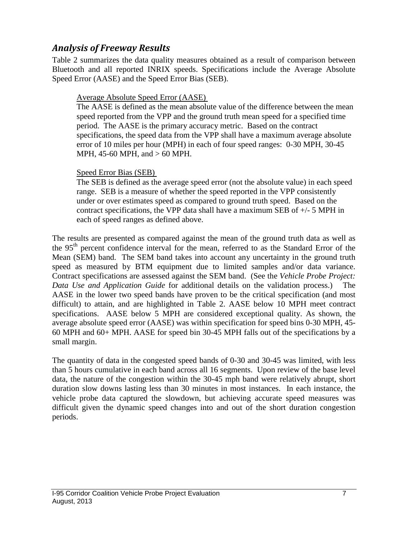### *Analysis of Freeway Results*

Table 2 summarizes the data quality measures obtained as a result of comparison between Bluetooth and all reported INRIX speeds. Specifications include the Average Absolute Speed Error (AASE) and the Speed Error Bias (SEB).

#### Average Absolute Speed Error (AASE)

The AASE is defined as the mean absolute value of the difference between the mean speed reported from the VPP and the ground truth mean speed for a specified time period. The AASE is the primary accuracy metric. Based on the contract specifications, the speed data from the VPP shall have a maximum average absolute error of 10 miles per hour (MPH) in each of four speed ranges: 0-30 MPH, 30-45 MPH, 45-60 MPH, and > 60 MPH.

#### Speed Error Bias (SEB)

The SEB is defined as the average speed error (not the absolute value) in each speed range. SEB is a measure of whether the speed reported in the VPP consistently under or over estimates speed as compared to ground truth speed. Based on the contract specifications, the VPP data shall have a maximum SEB of +/- 5 MPH in each of speed ranges as defined above.

The results are presented as compared against the mean of the ground truth data as well as the 95<sup>th</sup> percent confidence interval for the mean, referred to as the Standard Error of the Mean (SEM) band. The SEM band takes into account any uncertainty in the ground truth speed as measured by BTM equipment due to limited samples and/or data variance. Contract specifications are assessed against the SEM band. (See the *Vehicle Probe Project: Data Use and Application Guide* for additional details on the validation process.) The AASE in the lower two speed bands have proven to be the critical specification (and most difficult) to attain, and are highlighted in Table 2. AASE below 10 MPH meet contract specifications. AASE below 5 MPH are considered exceptional quality. As shown, the average absolute speed error (AASE) was within specification for speed bins 0-30 MPH, 45- 60 MPH and 60+ MPH. AASE for speed bin 30-45 MPH falls out of the specifications by a small margin.

The quantity of data in the congested speed bands of 0-30 and 30-45 was limited, with less than 5 hours cumulative in each band across all 16 segments. Upon review of the base level data, the nature of the congestion within the 30-45 mph band were relatively abrupt, short duration slow downs lasting less than 30 minutes in most instances. In each instance, the vehicle probe data captured the slowdown, but achieving accurate speed measures was difficult given the dynamic speed changes into and out of the short duration congestion periods.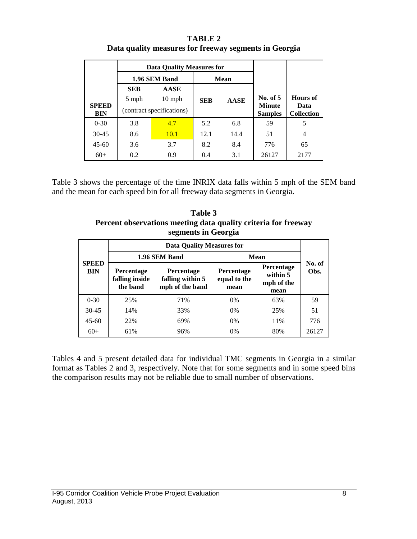| <b>TABLE 2</b>                                        |
|-------------------------------------------------------|
| Data quality measures for freeway segments in Georgia |

|                            |            | <b>Data Quality Measures for</b> |            |             |                                 |                           |
|----------------------------|------------|----------------------------------|------------|-------------|---------------------------------|---------------------------|
|                            |            | 1.96 SEM Band                    |            | <b>Mean</b> |                                 |                           |
|                            | <b>SEB</b> | <b>AASE</b>                      |            |             |                                 |                           |
|                            | 5 mph      | $10 \text{ mph}$                 | <b>SEB</b> | <b>AASE</b> | No. of 5                        | Hours of                  |
| <b>SPEED</b><br><b>BIN</b> |            | (contract specifications)        |            |             | <b>Minute</b><br><b>Samples</b> | Data<br><b>Collection</b> |
| $0 - 30$                   | 3.8        | 4.7                              | 5.2        | 6.8         | 59                              | 5                         |
| $30 - 45$                  | 8.6        | 10.1                             | 12.1       | 14.4        | 51                              | 4                         |
| $45 - 60$                  | 3.6        | 3.7                              | 8.2        | 8.4         | 776                             | 65                        |
| $60+$                      | 0.2        | 0.9                              | 0.4        | 3.1         | 26127                           | 2177                      |

Table 3 shows the percentage of the time INRIX data falls within 5 mph of the SEM band and the mean for each speed bin for all freeway data segments in Georgia.

**Table 3 Percent observations meeting data quality criteria for freeway segments in Georgia**

|                            | <b>Data Quality Measures for</b>                                                                            |               |                                           |                                              |                |  |  |  |
|----------------------------|-------------------------------------------------------------------------------------------------------------|---------------|-------------------------------------------|----------------------------------------------|----------------|--|--|--|
|                            |                                                                                                             | 1.96 SEM Band |                                           | Mean                                         |                |  |  |  |
| <b>SPEED</b><br><b>BIN</b> | <b>Percentage</b><br><b>Percentage</b><br>falling inside<br>falling within 5<br>mph of the band<br>the band |               | <b>Percentage</b><br>equal to the<br>mean | Percentage<br>within 5<br>mph of the<br>mean | No. of<br>Obs. |  |  |  |
| $0 - 30$                   | 25%                                                                                                         | 71%           | 0%                                        | 63%                                          | 59             |  |  |  |
| $30 - 45$                  | 14%                                                                                                         | 33%           | 0%                                        | 25%                                          | 51             |  |  |  |
| $45 - 60$                  | 22%                                                                                                         | 69%           | 0%                                        | 11%                                          | 776            |  |  |  |
| $60+$                      | 61%                                                                                                         | 96%           | 0%                                        | 80%                                          | 26127          |  |  |  |

Tables 4 and 5 present detailed data for individual TMC segments in Georgia in a similar format as Tables 2 and 3, respectively. Note that for some segments and in some speed bins the comparison results may not be reliable due to small number of observations.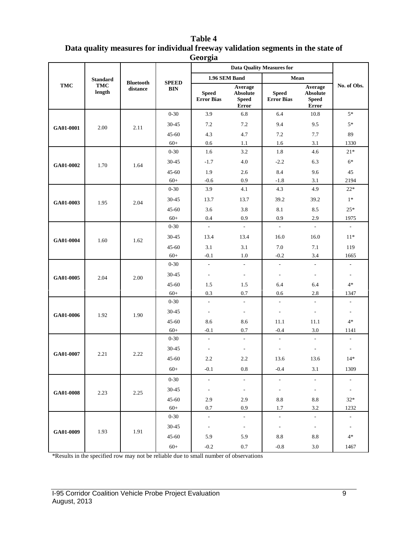| Table 4                                                                          |
|----------------------------------------------------------------------------------|
| Data quality measures for individual freeway validation segments in the state of |
| Georgia                                                                          |

|                        |                      |                              |                                      | <b>Data Quality Measures for</b>       |                                                     |                                                          |                                                                       |                                           |
|------------------------|----------------------|------------------------------|--------------------------------------|----------------------------------------|-----------------------------------------------------|----------------------------------------------------------|-----------------------------------------------------------------------|-------------------------------------------|
|                        | <b>Standard</b>      |                              |                                      | 1.96 SEM Band                          |                                                     | Mean                                                     |                                                                       |                                           |
| <b>TMC</b>             | <b>TMC</b><br>length | <b>Bluetooth</b><br>distance | <b>SPEED</b><br><b>BIN</b>           | <b>Speed</b><br><b>Error Bias</b>      | Average<br><b>Absolute</b><br><b>Speed</b><br>Error | <b>Speed</b><br><b>Error Bias</b>                        | Average<br><b>Absolute</b><br><b>Speed</b><br>Error                   | No. of Obs.                               |
|                        |                      |                              | $0 - 30$                             | 3.9                                    | 6.8                                                 | 6.4                                                      | 10.8                                                                  | $5*$                                      |
| GA01-0001              | 2.00                 | 2.11                         | 30-45                                | 7.2                                    | 7.2                                                 | 9.4                                                      | 9.5                                                                   | $5*$                                      |
|                        |                      |                              | $45 - 60$                            | 4.3                                    | 4.7                                                 | 7.2                                                      | 7.7                                                                   | 89                                        |
|                        |                      |                              | $60+$                                | $0.6\,$                                | 1.1                                                 | 1.6                                                      | 3.1                                                                   | 1330                                      |
|                        |                      |                              | $0 - 30$                             | 1.6                                    | 3.2                                                 | 1.8                                                      | 4.6                                                                   | $21*$                                     |
| GA01-0002              | 1.70                 | 1.64                         | 30-45                                | $-1.7$                                 | 4.0                                                 | $-2.2$                                                   | 6.3                                                                   | $6*$                                      |
|                        |                      |                              | $45 - 60$                            | 1.9                                    | 2.6                                                 | 8.4                                                      | 9.6                                                                   | 45                                        |
|                        |                      |                              | $60+$                                | $-0.6$                                 | 0.9                                                 | $-1.8$                                                   | 3.1                                                                   | 2194                                      |
|                        |                      |                              | $0 - 30$                             | 3.9                                    | 4.1                                                 | 4.3                                                      | 4.9                                                                   | $22*$                                     |
| GA01-0003              | 1.95                 | 2.04                         | 30-45                                | 13.7                                   | 13.7                                                | 39.2                                                     | 39.2                                                                  | $1*$                                      |
|                        |                      |                              | $45 - 60$                            | 3.6                                    | 3.8                                                 | 8.1                                                      | 8.5                                                                   | $25*$                                     |
|                        |                      |                              | $60+$                                | 0.4                                    | 0.9                                                 | 0.9                                                      | 2.9                                                                   | 1975                                      |
|                        |                      |                              | $0 - 30$                             | $\overline{\phantom{a}}$               | $\overline{\phantom{a}}$                            | $\overline{\phantom{a}}$                                 | $\overline{\phantom{a}}$                                              | $\overline{\phantom{a}}$                  |
| 1.60<br>GA01-0004      |                      | 1.62                         | 30-45                                | 13.4                                   | 13.4                                                | 16.0                                                     | 16.0                                                                  | $11*$                                     |
|                        |                      |                              | $45 - 60$                            | 3.1                                    | 3.1                                                 | 7.0                                                      | 7.1                                                                   | 119                                       |
|                        |                      | $60+$                        | $-0.1$                               | 1.0                                    | $-0.2$                                              | 3.4                                                      | 1665                                                                  |                                           |
|                        |                      |                              | $0 - 30$                             | $\overline{\phantom{a}}$               | $\blacksquare$                                      | $\qquad \qquad \blacksquare$                             | $\blacksquare$                                                        | $\qquad \qquad \blacksquare$              |
| GA01-0005              | 2.04                 | 2.00                         | 30-45                                | $\overline{\phantom{a}}$               | $\overline{\phantom{a}}$                            | $\qquad \qquad \blacksquare$                             | $\overline{\phantom{a}}$                                              | $\qquad \qquad \blacksquare$              |
|                        |                      |                              | $45 - 60$                            | 1.5                                    | 1.5                                                 | 6.4                                                      | 6.4                                                                   | $4*$                                      |
|                        |                      |                              | $60+$                                | 0.3                                    | 0.7                                                 | 0.6                                                      | 2.8                                                                   | 1347                                      |
|                        |                      |                              | $0 - 30$                             | $\overline{\phantom{a}}$               | $\overline{\phantom{a}}$                            | $\qquad \qquad \blacksquare$                             | $\overline{\phantom{a}}$                                              | $\qquad \qquad \blacksquare$              |
| GA01-0006              | 1.92                 | 1.90                         | 30-45                                | $\overline{\phantom{a}}$               | $\overline{\phantom{a}}$                            | $\overline{a}$                                           | $\overline{\phantom{a}}$                                              | $\overline{a}$                            |
|                        |                      |                              | $45 - 60$                            | 8.6                                    | 8.6                                                 | 11.1                                                     | 11.1                                                                  | $4*$                                      |
|                        |                      |                              | $60+$                                | $-0.1$                                 | 0.7                                                 | $-0.4$                                                   | 3.0                                                                   | 1141                                      |
|                        |                      |                              | $0 - 30$                             | ÷,                                     | $\overline{\phantom{a}}$                            | $\qquad \qquad \blacksquare$                             | $\overline{\phantom{a}}$                                              | ÷                                         |
|                        |                      |                              | 30-45                                | $\overline{\phantom{a}}$               | $\overline{\phantom{a}}$                            | $\overline{\phantom{a}}$                                 | $\overline{\phantom{a}}$                                              | $\overline{a}$                            |
|                        |                      |                              | $45 - 60$                            | 2.2                                    | 2.2                                                 | 13.6                                                     | 13.6                                                                  | $14*$                                     |
|                        |                      |                              | $60+$                                | $-0.1$                                 | 0.8                                                 | $-0.4$                                                   | 3.1                                                                   | 1309                                      |
|                        |                      |                              | $0 - 30$                             | $\overline{\phantom{a}}$               | $\blacksquare$                                      | $\overline{\phantom{a}}$                                 | $\overline{\phantom{a}}$                                              | ÷                                         |
|                        |                      |                              |                                      |                                        |                                                     |                                                          |                                                                       |                                           |
| GA01-0008              | 2.23                 |                              |                                      |                                        |                                                     |                                                          |                                                                       |                                           |
|                        |                      |                              |                                      | 0.7                                    | 0.9                                                 | 1.7                                                      | 3.2                                                                   | 1232                                      |
|                        |                      |                              | $0 - 30$                             | $\sim$                                 | $\sim$                                              | $\blacksquare$                                           | $\sim$                                                                | $\sim$                                    |
|                        |                      |                              | $30 - 45$                            | $\blacksquare$                         | $\sim$                                              | $\overline{\phantom{a}}$                                 | $\sim$                                                                | $\overline{\phantom{a}}$                  |
|                        |                      | 1.91                         | $45 - 60$                            |                                        |                                                     |                                                          |                                                                       | $4*$                                      |
|                        |                      |                              |                                      |                                        |                                                     |                                                          |                                                                       |                                           |
| GA01-0007<br>GA01-0009 | 2.21<br>1.93         | 2.22<br>2.25                 | 30-45<br>$45 - 60$<br>$60+$<br>$60+$ | $\blacksquare$<br>2.9<br>5.9<br>$-0.2$ | $\sim$<br>2.9<br>5.9<br>$0.7\,$                     | $\blacksquare$<br>$\!\!\!\!\!8.8$<br>$\ \ 8.8$<br>$-0.8$ | $\overline{\phantom{a}}$<br>$\!\!\!\!\!8.8$<br>$\!\!\!\!\!8.8$<br>3.0 | $\overline{\phantom{a}}$<br>$32*$<br>1467 |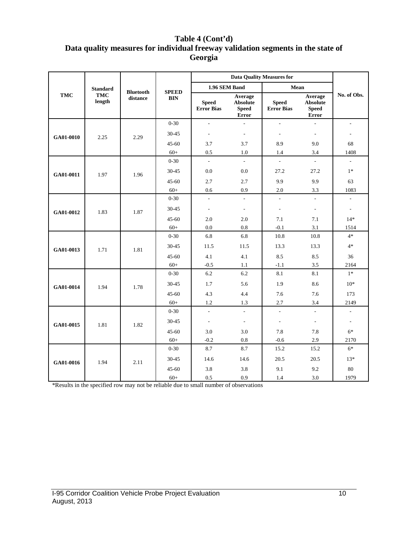#### **Table 4 (Cont'd) Data quality measures for individual freeway validation segments in the state of Georgia**

|            | <b>Standard</b>      |                              |                            | 1.96 SEM Band              |                                                     | Mean                              |                                                     |                          |
|------------|----------------------|------------------------------|----------------------------|----------------------------|-----------------------------------------------------|-----------------------------------|-----------------------------------------------------|--------------------------|
| <b>TMC</b> | <b>TMC</b><br>length | <b>Bluetooth</b><br>distance | <b>SPEED</b><br><b>BIN</b> | <b>Speed</b><br>Error Bias | Average<br><b>Absolute</b><br><b>Speed</b><br>Error | <b>Speed</b><br><b>Error Bias</b> | Average<br><b>Absolute</b><br><b>Speed</b><br>Error | No. of Obs.              |
|            |                      |                              | $0 - 30$                   | $\overline{a}$             | $\overline{a}$                                      | $\overline{a}$                    | $\overline{\phantom{a}}$                            | $\sim$                   |
| GA01-0010  | 2.25                 | 2.29                         | 30-45                      | $\frac{1}{2}$              | $\overline{\phantom{a}}$                            | ÷,                                | $\overline{\phantom{a}}$                            |                          |
|            |                      |                              | $45 - 60$                  | 3.7                        | 3.7                                                 | 8.9                               | 9.0                                                 | 68                       |
|            |                      |                              | $60+$                      | 0.5                        | 1.0                                                 | 1.4                               | 3.4                                                 | 1408                     |
|            |                      |                              | $0 - 30$                   | $\overline{a}$             | $\mathbb{L}$                                        | $\overline{\phantom{a}}$          | $\overline{\phantom{a}}$                            | $\overline{\phantom{a}}$ |
| GA01-0011  | 1.97                 | 1.96                         | 30-45                      | 0.0                        | 0.0                                                 | 27.2                              | 27.2                                                | $1*$                     |
|            |                      |                              | $45 - 60$                  | 2.7                        | 2.7                                                 | 9.9                               | 9.9                                                 | 63                       |
|            |                      |                              | $60+$                      | 0.6                        | 0.9                                                 | 2.0                               | 3.3                                                 | 1083                     |
|            |                      |                              | $0 - 30$                   | $\overline{\phantom{a}}$   | $\mathbb{L}^+$                                      | $\overline{\phantom{a}}$          | $\frac{1}{2}$                                       | $\overline{\phantom{a}}$ |
| GA01-0012  | 1.83                 | 1.87                         | 30-45                      | $\overline{\phantom{a}}$   | $\overline{\phantom{a}}$                            | $\overline{\phantom{a}}$          | $\overline{\phantom{a}}$                            | $\overline{\phantom{a}}$ |
|            |                      |                              | $45 - 60$                  | 2.0                        | 2.0                                                 | 7.1                               | 7.1                                                 | $14*$                    |
|            |                      |                              | $60+$                      | 0.0                        | 0.8                                                 | $-0.1$                            | 3.1                                                 | 1514                     |
|            |                      | 1.81                         | $0 - 30$                   | 6.8                        | 6.8                                                 | 10.8                              | 10.8                                                | $4*$                     |
| GA01-0013  | 1.71                 |                              | 30-45                      | 11.5                       | 11.5                                                | 13.3                              | 13.3                                                | $4*$                     |
|            |                      |                              | $45 - 60$                  | 4.1                        | 4.1                                                 | 8.5                               | 8.5                                                 | 36                       |
|            |                      |                              | $60+$                      | $-0.5$                     | 1.1                                                 | $-1.1$                            | 3.5                                                 | 2164                     |
|            |                      |                              | $0 - 30$                   | 6.2                        | 6.2                                                 | 8.1                               | 8.1                                                 | $1*$                     |
| GA01-0014  | 1.94                 | 1.78                         | 30-45                      | 1.7                        | 5.6                                                 | 1.9                               | 8.6                                                 | $10*$                    |
|            |                      |                              | $45 - 60$                  | 4.3                        | 4.4                                                 | 7.6                               | 7.6                                                 | 173                      |
|            |                      |                              | $60+$                      | 1.2                        | 1.3                                                 | 2.7                               | 3.4                                                 | 2149                     |
|            |                      |                              | $0 - 30$                   | $\overline{\phantom{a}}$   | $\sim$                                              | $\overline{\phantom{a}}$          | $\bar{\phantom{a}}$                                 | $\overline{\phantom{a}}$ |
| GA01-0015  | 1.81                 | 1.82                         | 30-45                      | $\overline{\phantom{a}}$   | $\overline{\phantom{a}}$                            | $\overline{\phantom{a}}$          | $\overline{\phantom{a}}$                            | $\overline{\phantom{a}}$ |
|            |                      |                              | $45 - 60$                  | 3.0                        | 3.0                                                 | 7.8                               | 7.8                                                 | $6*$                     |
|            |                      |                              | $60+$                      | $-0.2$                     | 0.8                                                 | $-0.6$                            | 2.9                                                 | 2170                     |
|            |                      |                              | $0 - 30$                   | 8.7                        | 8.7                                                 | 15.2                              | 15.2                                                | $6*$                     |
| GA01-0016  | 1.94                 | 2.11                         | 30-45                      | 14.6                       | 14.6                                                | 20.5                              | 20.5                                                | $13*$                    |
|            |                      |                              | $45 - 60$                  | 3.8                        | 3.8                                                 | 9.1                               | 9.2                                                 | 80                       |
|            |                      |                              | $60+$                      | 0.5                        | 0.9                                                 | 1.4                               | 3.0                                                 | 1979                     |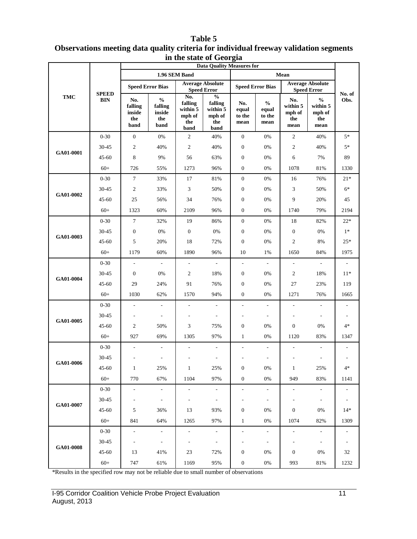|                                                                                                | m me state of Ocorgia<br><b>Data Quality Measures for</b> |                                         |                                                                        |                                                     |                                                                                    |                                                                          |                                                               |                                          |                                                    |                          |
|------------------------------------------------------------------------------------------------|-----------------------------------------------------------|-----------------------------------------|------------------------------------------------------------------------|-----------------------------------------------------|------------------------------------------------------------------------------------|--------------------------------------------------------------------------|---------------------------------------------------------------|------------------------------------------|----------------------------------------------------|--------------------------|
|                                                                                                |                                                           |                                         |                                                                        | 1.96 SEM Band                                       |                                                                                    |                                                                          |                                                               | Mean                                     |                                                    |                          |
|                                                                                                | <b>SPEED</b>                                              |                                         | <b>Speed Error Bias</b>                                                | <b>Speed Error</b>                                  | <b>Average Absolute</b>                                                            | <b>Average Absolute</b><br><b>Speed Error Bias</b><br><b>Speed Error</b> |                                                               |                                          |                                                    |                          |
| TMC<br>GA01-0001<br>GA01-0002<br>GA01-0003<br>GA01-0004<br>GA01-0005<br>GA01-0006<br>GA01-0007 | <b>BIN</b>                                                | No.<br>falling<br>inside<br>the<br>band | $\mathbf{0}_{\mathbf{0}}^{\prime}$<br>falling<br>inside<br>the<br>band | No.<br>falling<br>within 5<br>mph of<br>the<br>band | $\mathbf{0}_{\mathbf{0}}^{\prime}$<br>falling<br>within 5<br>mph of<br>the<br>band | No.<br>equal<br>to the<br>mean                                           | $\mathbf{0}_{\mathbf{0}}^{\prime}$<br>equal<br>to the<br>mean | No.<br>within 5<br>mph of<br>the<br>mean | $\frac{0}{0}$<br>within 5<br>mph of<br>the<br>mean | No. of<br>Obs.           |
|                                                                                                | $0 - 30$                                                  | $\boldsymbol{0}$                        | $0\%$                                                                  | $\boldsymbol{2}$                                    | 40%                                                                                | $\boldsymbol{0}$                                                         | 0%                                                            | $\sqrt{2}$                               | 40%                                                | $5*$                     |
|                                                                                                | 30-45                                                     | 2                                       | 40%                                                                    | $\overline{c}$                                      | 40%                                                                                | $\mathbf{0}$                                                             | 0%                                                            | $\sqrt{2}$                               | 40%                                                | $5*$                     |
|                                                                                                | $45 - 60$                                                 | 8                                       | 9%                                                                     | 56                                                  | 63%                                                                                | $\mathbf{0}$                                                             | 0%                                                            | 6                                        | 7%                                                 | 89                       |
|                                                                                                | $60+$                                                     | 726                                     | 55%                                                                    | 1273                                                | 96%                                                                                | $\boldsymbol{0}$                                                         | 0%                                                            | 1078                                     | 81%                                                | 1330                     |
|                                                                                                | $0 - 30$                                                  | $\tau$                                  | 33%                                                                    | 17                                                  | 81%                                                                                | $\boldsymbol{0}$                                                         | 0%                                                            | 16                                       | 76%                                                | $21*$                    |
|                                                                                                | 30-45                                                     | $\overline{c}$                          | 33%                                                                    | 3                                                   | 50%                                                                                | $\mathbf{0}$                                                             | 0%                                                            | $\overline{3}$                           | 50%                                                | $6*$                     |
|                                                                                                | $45 - 60$                                                 | 25                                      | 56%                                                                    | 34                                                  | 76%                                                                                | $\mathbf{0}$                                                             | 0%                                                            | 9                                        | 20%                                                | 45                       |
|                                                                                                | $60+$                                                     | 1323                                    | 60%                                                                    | 2109                                                | 96%                                                                                | $\boldsymbol{0}$                                                         | 0%                                                            | 1740                                     | 79%                                                | 2194                     |
|                                                                                                | $0 - 30$                                                  | $7\phantom{.0}$                         | 32%                                                                    | 19                                                  | 86%                                                                                | $\boldsymbol{0}$                                                         | 0%                                                            | 18                                       | 82%                                                | $22*$                    |
|                                                                                                | 30-45                                                     | $\mathbf{0}$                            | $0\%$                                                                  | $\boldsymbol{0}$                                    | $0\%$                                                                              | $\boldsymbol{0}$                                                         | 0%                                                            | $\mathbf{0}$                             | 0%                                                 | $1*$                     |
|                                                                                                | $45 - 60$                                                 | 5                                       | 20%                                                                    | 18                                                  | 72%                                                                                | $\mathbf{0}$                                                             | 0%                                                            | $\sqrt{2}$                               | 8%                                                 | $25*$                    |
|                                                                                                | $60+$                                                     | 1179                                    | 60%                                                                    | 1890                                                | 96%                                                                                | 10                                                                       | 1%                                                            | 1650                                     | 84%                                                | 1975                     |
|                                                                                                | $0 - 30$                                                  | $\overline{\phantom{a}}$                | $\overline{\phantom{a}}$                                               | $\overline{\phantom{a}}$                            | $\overline{\phantom{a}}$                                                           | $\overline{\phantom{a}}$                                                 | $\overline{\phantom{a}}$                                      | ÷,                                       | ÷.                                                 | $\overline{\phantom{a}}$ |
|                                                                                                | 30-45                                                     | $\mathbf{0}$                            | 0%                                                                     | $\overline{c}$                                      | 18%                                                                                | $\boldsymbol{0}$                                                         | 0%                                                            | $\mathbf{2}$                             | 18%                                                | $11*$                    |
|                                                                                                | $45 - 60$                                                 | 29                                      | 24%                                                                    | 91                                                  | 76%                                                                                | $\boldsymbol{0}$                                                         | 0%                                                            | 27                                       | 23%                                                | 119                      |
|                                                                                                | $60+$                                                     | 1030                                    | 62%                                                                    | 1570                                                | 94%                                                                                | $\boldsymbol{0}$                                                         | 0%                                                            | 1271                                     | 76%                                                | 1665                     |
|                                                                                                | $0 - 30$                                                  | $\overline{\phantom{a}}$                | $\mathcal{L}$                                                          | $\overline{\phantom{a}}$                            | $\overline{\phantom{a}}$                                                           | $\overline{a}$                                                           | $\sim$                                                        | ÷,                                       | $\overline{\phantom{a}}$                           |                          |
|                                                                                                | 30-45                                                     | $\overline{\phantom{a}}$                | $\overline{\phantom{a}}$                                               |                                                     | $\overline{\phantom{a}}$                                                           | $\overline{a}$                                                           | $\overline{\phantom{a}}$                                      | $\overline{a}$                           | $\overline{\phantom{m}}$                           |                          |
|                                                                                                | $45 - 60$                                                 | 2                                       | 50%                                                                    | 3                                                   | 75%                                                                                | $\boldsymbol{0}$                                                         | 0%                                                            | $\boldsymbol{0}$                         | 0%                                                 | $4*$                     |
|                                                                                                | $60+$                                                     | 927                                     | 69%                                                                    | 1305                                                | 97%                                                                                | $\mathbf{1}$                                                             | 0%                                                            | 1120                                     | 83%                                                | 1347                     |
|                                                                                                | $0 - 30$                                                  | $\overline{\phantom{a}}$                | $\overline{\phantom{a}}$                                               | $\overline{\phantom{a}}$                            | $\overline{\phantom{a}}$                                                           | $\overline{\phantom{a}}$                                                 | $\overline{\phantom{a}}$                                      | ÷,                                       | $\overline{\phantom{a}}$                           | ٠                        |
|                                                                                                | 30-45                                                     |                                         |                                                                        |                                                     | $\qquad \qquad \blacksquare$                                                       |                                                                          |                                                               |                                          |                                                    |                          |
|                                                                                                | $45 - 60$                                                 | $\mathbf{1}$                            | 25%                                                                    | $\mathbf{1}$                                        | 25%                                                                                | $\boldsymbol{0}$                                                         | 0%                                                            | $\mathbf{1}$                             | 25%                                                | $4*$                     |
|                                                                                                | $60+$                                                     | 770                                     | 67%                                                                    | 1104                                                | 97%                                                                                | $\boldsymbol{0}$                                                         | 0%                                                            | 949                                      | 83%                                                | 1141                     |
|                                                                                                | $0 - 30$                                                  | $\overline{\phantom{a}}$                | $\blacksquare$                                                         | $\overline{\phantom{a}}$                            | $\overline{\phantom{a}}$                                                           | $\blacksquare$                                                           | $\blacksquare$                                                | $\frac{1}{2}$                            | $\overline{\phantom{a}}$                           | $\frac{1}{2}$            |
|                                                                                                | 30-45                                                     | $\overline{\phantom{a}}$                | $\overline{\phantom{a}}$                                               | $\blacksquare$                                      | $\overline{\phantom{a}}$                                                           | $\qquad \qquad \blacksquare$                                             | $\overline{\phantom{a}}$                                      | ۰                                        | $\overline{\phantom{a}}$                           | $\equiv$                 |
|                                                                                                | $45 - 60$                                                 | 5                                       | 36%                                                                    | 13                                                  | 93%                                                                                | $\boldsymbol{0}$                                                         | 0%                                                            | $\boldsymbol{0}$                         | 0%                                                 | $14*$                    |
|                                                                                                | $60+$                                                     | 841                                     | 64%                                                                    | 1265                                                | 97%                                                                                | $\mathbf{1}$                                                             | 0%                                                            | 1074                                     | 82%                                                | 1309                     |
|                                                                                                | $0 - 30$                                                  | $\blacksquare$                          | $\overline{\phantom{a}}$                                               | $\overline{\phantom{a}}$                            | $\overline{\phantom{a}}$                                                           | ÷,                                                                       | $\blacksquare$                                                | $\blacksquare$                           | $\overline{\phantom{a}}$                           | $\frac{1}{2}$            |
|                                                                                                | 30-45                                                     | $\overline{\phantom{a}}$                | $\overline{\phantom{a}}$                                               | $\overline{\phantom{a}}$                            | $\overline{\phantom{a}}$                                                           | $\qquad \qquad \blacksquare$                                             | $\overline{\phantom{a}}$                                      | $\overline{\phantom{0}}$                 | $\qquad \qquad \blacksquare$                       | $\blacksquare$           |
| GA01-0008                                                                                      | $45 - 60$                                                 | 13                                      | 41%                                                                    | 23                                                  | 72%                                                                                | $\boldsymbol{0}$                                                         | 0%                                                            | $\boldsymbol{0}$                         | 0%                                                 | 32                       |
|                                                                                                | $60+$                                                     | 747                                     | 61%                                                                    | 1169                                                | 95%                                                                                | $\boldsymbol{0}$                                                         | 0%                                                            | 993                                      | 81%                                                | 1232                     |

#### **Table 5 Observations meeting data quality criteria for individual freeway validation segments in the state of Georgia**